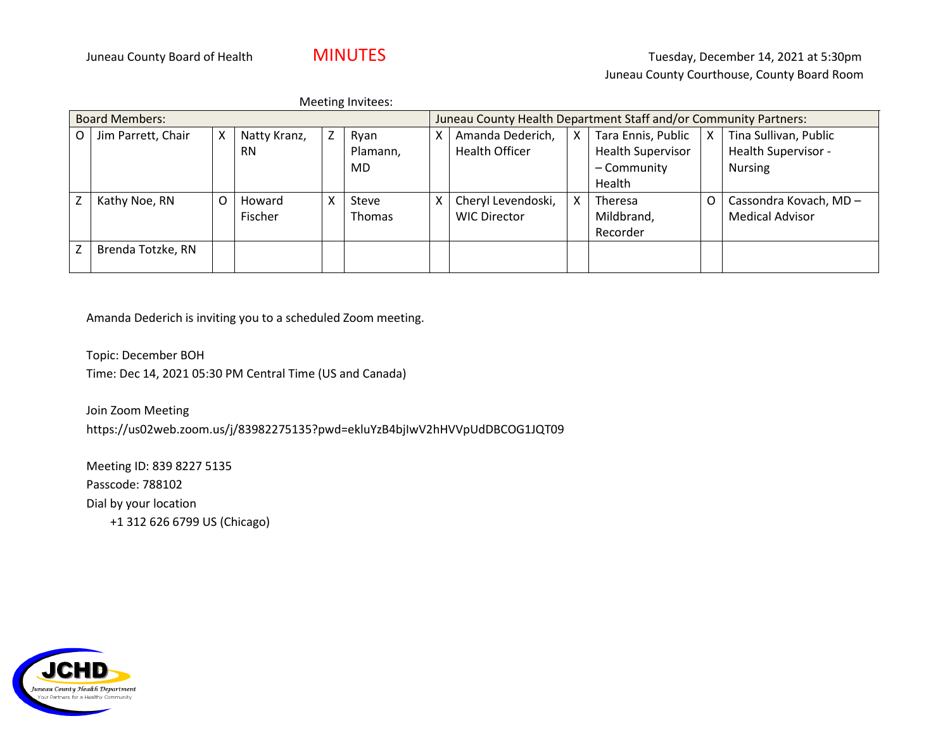| Meeting Invitees:        |                    |   |              |   |                                                                  |   |                       |   |                          |   |                        |
|--------------------------|--------------------|---|--------------|---|------------------------------------------------------------------|---|-----------------------|---|--------------------------|---|------------------------|
| <b>Board Members:</b>    |                    |   |              |   | Juneau County Health Department Staff and/or Community Partners: |   |                       |   |                          |   |                        |
| O                        | Jim Parrett, Chair | X | Natty Kranz, | Z | Ryan                                                             | x | Amanda Dederich,      | X | Tara Ennis, Public       | X | Tina Sullivan, Public  |
|                          |                    |   | <b>RN</b>    |   | Plamann,                                                         |   | <b>Health Officer</b> |   | <b>Health Supervisor</b> |   | Health Supervisor -    |
|                          |                    |   |              |   | MD.                                                              |   |                       |   | - Community              |   | <b>Nursing</b>         |
|                          |                    |   |              |   |                                                                  |   |                       |   | Health                   |   |                        |
| Z                        | Kathy Noe, RN      | O | Howard       | x | Steve                                                            | x | Cheryl Levendoski,    | X | Theresa                  | O | Cassondra Kovach, MD - |
|                          |                    |   | Fischer      |   | <b>Thomas</b>                                                    |   | <b>WIC Director</b>   |   | Mildbrand,               |   | <b>Medical Advisor</b> |
|                          |                    |   |              |   |                                                                  |   |                       |   | Recorder                 |   |                        |
| $\overline{\phantom{a}}$ | Brenda Totzke, RN  |   |              |   |                                                                  |   |                       |   |                          |   |                        |
|                          |                    |   |              |   |                                                                  |   |                       |   |                          |   |                        |

Amanda Dederich is inviting you to a scheduled Zoom meeting.

Topic: December BOH Time: Dec 14, 2021 05:30 PM Central Time (US and Canada)

Join Zoom Meeting https://us02web.zoom.us/j/83982275135?pwd=ekluYzB4bjIwV2hHVVpUdDBCOG1JQT09

Meeting ID: 839 8227 5135 Passcode: 788102 Dial by your location +1 312 626 6799 US (Chicago)

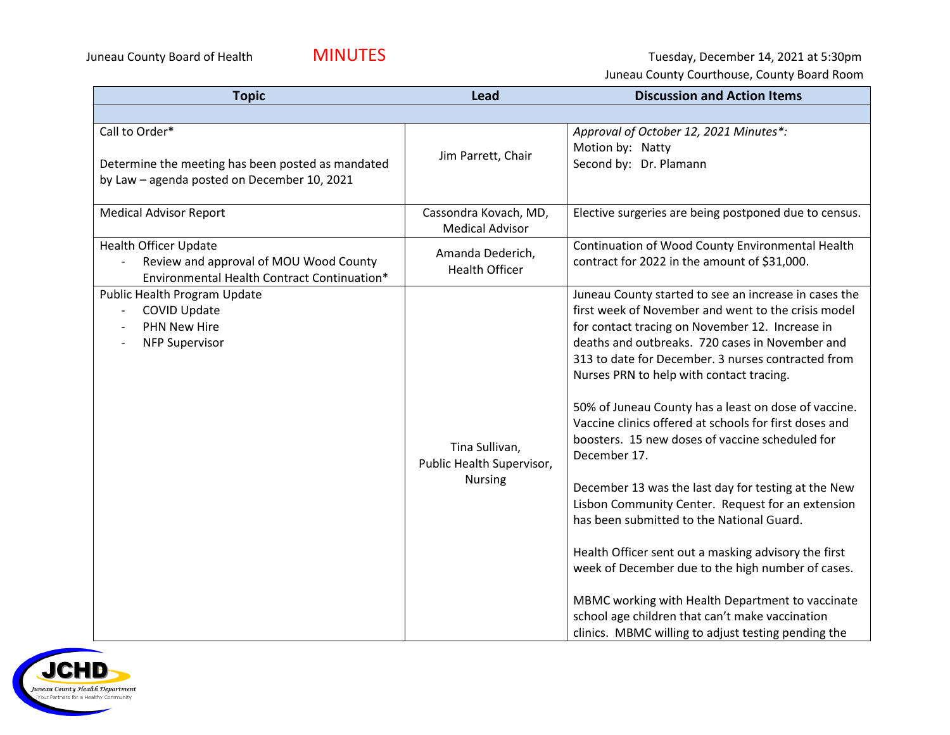Juneau County Board of Health **MINUTES** Juneau County Board of Health MINUTES

Juneau County Courthouse, County Board Room

| <b>Topic</b>                                                                                                          | Lead                                                          | <b>Discussion and Action Items</b>                                                                                                                                                                                                                                                                                                                                                                                                                                                                                                                                                                                                                                                                                                                                                                                                                                                                                                            |
|-----------------------------------------------------------------------------------------------------------------------|---------------------------------------------------------------|-----------------------------------------------------------------------------------------------------------------------------------------------------------------------------------------------------------------------------------------------------------------------------------------------------------------------------------------------------------------------------------------------------------------------------------------------------------------------------------------------------------------------------------------------------------------------------------------------------------------------------------------------------------------------------------------------------------------------------------------------------------------------------------------------------------------------------------------------------------------------------------------------------------------------------------------------|
|                                                                                                                       |                                                               |                                                                                                                                                                                                                                                                                                                                                                                                                                                                                                                                                                                                                                                                                                                                                                                                                                                                                                                                               |
| Call to Order*<br>Determine the meeting has been posted as mandated<br>by Law - agenda posted on December 10, 2021    | Jim Parrett, Chair                                            | Approval of October 12, 2021 Minutes*:<br>Motion by: Natty<br>Second by: Dr. Plamann                                                                                                                                                                                                                                                                                                                                                                                                                                                                                                                                                                                                                                                                                                                                                                                                                                                          |
| <b>Medical Advisor Report</b>                                                                                         | Cassondra Kovach, MD,<br><b>Medical Advisor</b>               | Elective surgeries are being postponed due to census.                                                                                                                                                                                                                                                                                                                                                                                                                                                                                                                                                                                                                                                                                                                                                                                                                                                                                         |
| <b>Health Officer Update</b><br>Review and approval of MOU Wood County<br>Environmental Health Contract Continuation* | Amanda Dederich,<br><b>Health Officer</b>                     | Continuation of Wood County Environmental Health<br>contract for 2022 in the amount of \$31,000.                                                                                                                                                                                                                                                                                                                                                                                                                                                                                                                                                                                                                                                                                                                                                                                                                                              |
| Public Health Program Update<br><b>COVID Update</b><br><b>PHN New Hire</b><br><b>NFP Supervisor</b>                   | Tina Sullivan,<br>Public Health Supervisor,<br><b>Nursing</b> | Juneau County started to see an increase in cases the<br>first week of November and went to the crisis model<br>for contact tracing on November 12. Increase in<br>deaths and outbreaks. 720 cases in November and<br>313 to date for December. 3 nurses contracted from<br>Nurses PRN to help with contact tracing.<br>50% of Juneau County has a least on dose of vaccine.<br>Vaccine clinics offered at schools for first doses and<br>boosters. 15 new doses of vaccine scheduled for<br>December 17.<br>December 13 was the last day for testing at the New<br>Lisbon Community Center. Request for an extension<br>has been submitted to the National Guard.<br>Health Officer sent out a masking advisory the first<br>week of December due to the high number of cases.<br>MBMC working with Health Department to vaccinate<br>school age children that can't make vaccination<br>clinics. MBMC willing to adjust testing pending the |

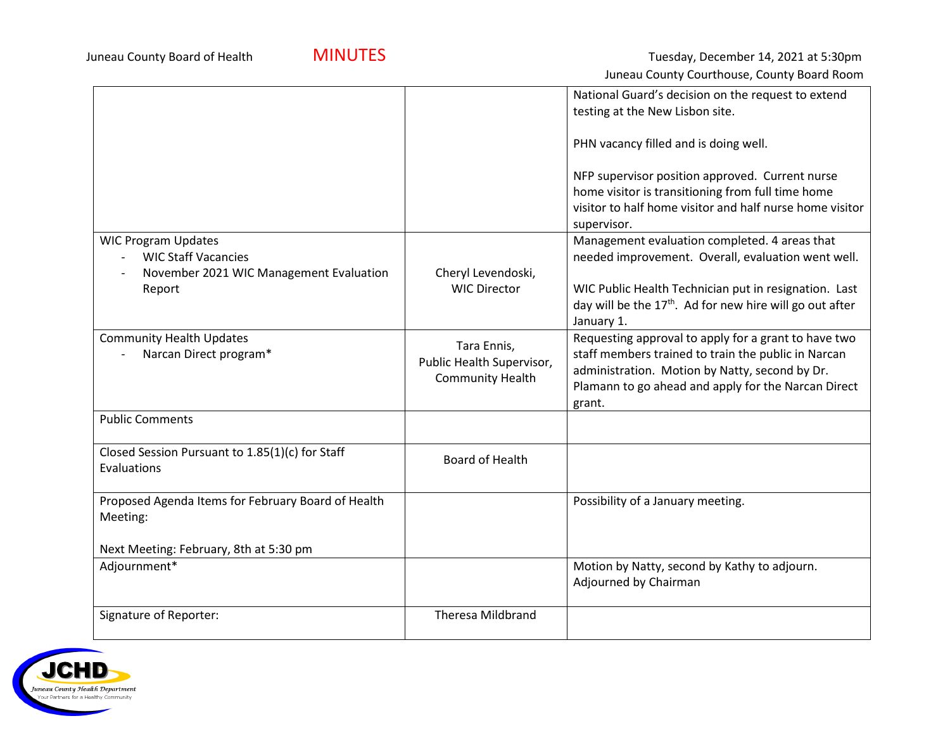|                                                                       |                           | National Guard's decision on the request to extend<br>testing at the New Lisbon site.                                                                                           |
|-----------------------------------------------------------------------|---------------------------|---------------------------------------------------------------------------------------------------------------------------------------------------------------------------------|
|                                                                       |                           |                                                                                                                                                                                 |
|                                                                       |                           | PHN vacancy filled and is doing well.                                                                                                                                           |
|                                                                       |                           | NFP supervisor position approved. Current nurse<br>home visitor is transitioning from full time home<br>visitor to half home visitor and half nurse home visitor<br>supervisor. |
| <b>WIC Program Updates</b>                                            |                           | Management evaluation completed. 4 areas that                                                                                                                                   |
| <b>WIC Staff Vacancies</b><br>November 2021 WIC Management Evaluation | Cheryl Levendoski,        | needed improvement. Overall, evaluation went well.                                                                                                                              |
| Report                                                                | <b>WIC Director</b>       | WIC Public Health Technician put in resignation. Last                                                                                                                           |
|                                                                       |                           | day will be the 17 <sup>th</sup> . Ad for new hire will go out after                                                                                                            |
|                                                                       |                           | January 1.                                                                                                                                                                      |
| <b>Community Health Updates</b><br>Narcan Direct program*             | Tara Ennis,               | Requesting approval to apply for a grant to have two<br>staff members trained to train the public in Narcan                                                                     |
|                                                                       | Public Health Supervisor, | administration. Motion by Natty, second by Dr.                                                                                                                                  |
|                                                                       | <b>Community Health</b>   | Plamann to go ahead and apply for the Narcan Direct                                                                                                                             |
|                                                                       |                           | grant.                                                                                                                                                                          |
| <b>Public Comments</b>                                                |                           |                                                                                                                                                                                 |
| Closed Session Pursuant to 1.85(1)(c) for Staff                       | Board of Health           |                                                                                                                                                                                 |
| Evaluations                                                           |                           |                                                                                                                                                                                 |
| Proposed Agenda Items for February Board of Health                    |                           | Possibility of a January meeting.                                                                                                                                               |
| Meeting:                                                              |                           |                                                                                                                                                                                 |
| Next Meeting: February, 8th at 5:30 pm                                |                           |                                                                                                                                                                                 |
| Adjournment*                                                          |                           | Motion by Natty, second by Kathy to adjourn.                                                                                                                                    |
|                                                                       |                           | Adjourned by Chairman                                                                                                                                                           |
| Signature of Reporter:                                                | <b>Theresa Mildbrand</b>  |                                                                                                                                                                                 |
|                                                                       |                           |                                                                                                                                                                                 |